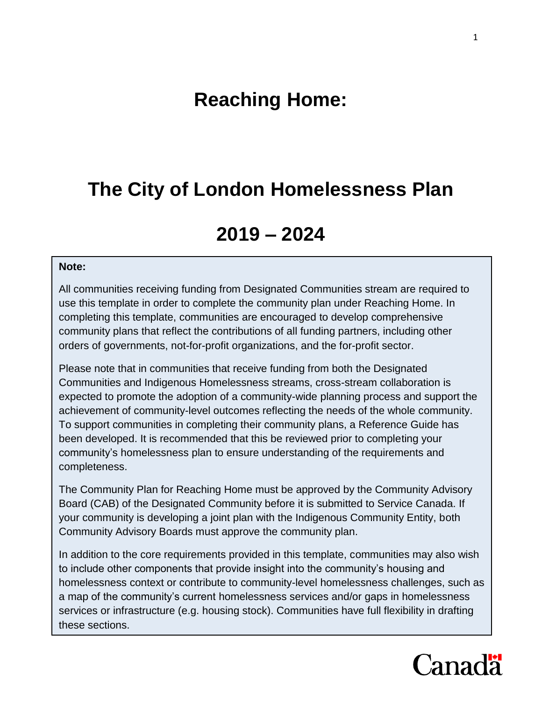# **Reaching Home:**

# **The City of London Homelessness Plan**

# **2019 – 2024**

#### **Note:**

All communities receiving funding from Designated Communities stream are required to use this template in order to complete the community plan under Reaching Home. In completing this template, communities are encouraged to develop comprehensive community plans that reflect the contributions of all funding partners, including other orders of governments, not-for-profit organizations, and the for-profit sector.

Please note that in communities that receive funding from both the Designated Communities and Indigenous Homelessness streams, cross-stream collaboration is expected to promote the adoption of a community-wide planning process and support the achievement of community-level outcomes reflecting the needs of the whole community. To support communities in completing their community plans, a Reference Guide has been developed. It is recommended that this be reviewed prior to completing your community's homelessness plan to ensure understanding of the requirements and completeness.

The Community Plan for Reaching Home must be approved by the Community Advisory Board (CAB) of the Designated Community before it is submitted to Service Canada. If your community is developing a joint plan with the Indigenous Community Entity, both Community Advisory Boards must approve the community plan.

In addition to the core requirements provided in this template, communities may also wish to include other components that provide insight into the community's housing and homelessness context or contribute to community-level homelessness challenges, such as a map of the community's current homelessness services and/or gaps in homelessness services or infrastructure (e.g. housing stock). Communities have full flexibility in drafting these sections.

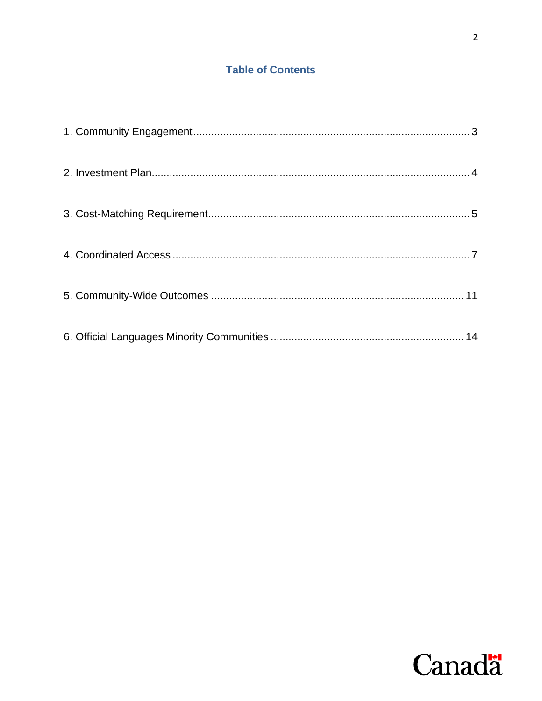## **Table of Contents**

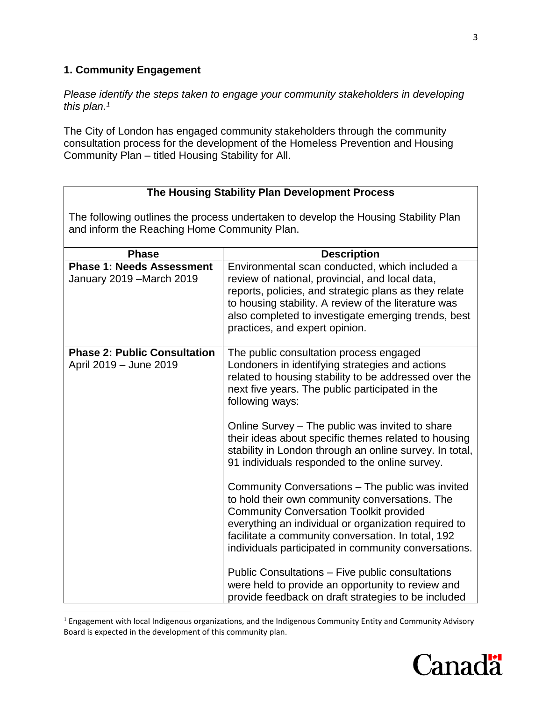### <span id="page-2-0"></span>**1. Community Engagement**

 $\overline{\phantom{a}}$ 

*Please identify the steps taken to engage your community stakeholders in developing this plan. 1*

The City of London has engaged community stakeholders through the community consultation process for the development of the Homeless Prevention and Housing Community Plan – titled Housing Stability for All.

| The Housing Stability Plan Development Process                                                                                      |                                                                                                                                                                                                                                                                                                                            |  |  |
|-------------------------------------------------------------------------------------------------------------------------------------|----------------------------------------------------------------------------------------------------------------------------------------------------------------------------------------------------------------------------------------------------------------------------------------------------------------------------|--|--|
| The following outlines the process undertaken to develop the Housing Stability Plan<br>and inform the Reaching Home Community Plan. |                                                                                                                                                                                                                                                                                                                            |  |  |
| <b>Phase</b>                                                                                                                        | <b>Description</b>                                                                                                                                                                                                                                                                                                         |  |  |
| <b>Phase 1: Needs Assessment</b><br>January 2019 - March 2019                                                                       | Environmental scan conducted, which included a<br>review of national, provincial, and local data,<br>reports, policies, and strategic plans as they relate<br>to housing stability. A review of the literature was<br>also completed to investigate emerging trends, best<br>practices, and expert opinion.                |  |  |
| <b>Phase 2: Public Consultation</b><br>April 2019 - June 2019                                                                       | The public consultation process engaged<br>Londoners in identifying strategies and actions<br>related to housing stability to be addressed over the<br>next five years. The public participated in the<br>following ways:                                                                                                  |  |  |
|                                                                                                                                     | Online Survey – The public was invited to share<br>their ideas about specific themes related to housing<br>stability in London through an online survey. In total,<br>91 individuals responded to the online survey.                                                                                                       |  |  |
|                                                                                                                                     | Community Conversations - The public was invited<br>to hold their own community conversations. The<br><b>Community Conversation Toolkit provided</b><br>everything an individual or organization required to<br>facilitate a community conversation. In total, 192<br>individuals participated in community conversations. |  |  |
|                                                                                                                                     | Public Consultations - Five public consultations<br>were held to provide an opportunity to review and<br>provide feedback on draft strategies to be included                                                                                                                                                               |  |  |

<sup>&</sup>lt;sup>1</sup> Engagement with local Indigenous organizations, and the Indigenous Community Entity and Community Advisory Board is expected in the development of this community plan.

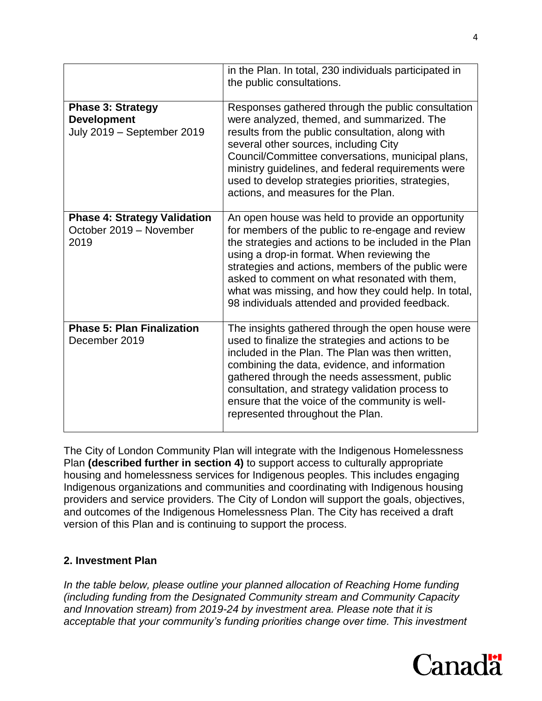|                                                                              | in the Plan. In total, 230 individuals participated in<br>the public consultations.                                                                                                                                                                                                                                                                                                                                           |
|------------------------------------------------------------------------------|-------------------------------------------------------------------------------------------------------------------------------------------------------------------------------------------------------------------------------------------------------------------------------------------------------------------------------------------------------------------------------------------------------------------------------|
| <b>Phase 3: Strategy</b><br><b>Development</b><br>July 2019 - September 2019 | Responses gathered through the public consultation<br>were analyzed, themed, and summarized. The<br>results from the public consultation, along with<br>several other sources, including City<br>Council/Committee conversations, municipal plans,<br>ministry guidelines, and federal requirements were<br>used to develop strategies priorities, strategies,<br>actions, and measures for the Plan.                         |
| <b>Phase 4: Strategy Validation</b><br>October 2019 - November<br>2019       | An open house was held to provide an opportunity<br>for members of the public to re-engage and review<br>the strategies and actions to be included in the Plan<br>using a drop-in format. When reviewing the<br>strategies and actions, members of the public were<br>asked to comment on what resonated with them,<br>what was missing, and how they could help. In total,<br>98 individuals attended and provided feedback. |
| <b>Phase 5: Plan Finalization</b><br>December 2019                           | The insights gathered through the open house were<br>used to finalize the strategies and actions to be<br>included in the Plan. The Plan was then written,<br>combining the data, evidence, and information<br>gathered through the needs assessment, public<br>consultation, and strategy validation process to<br>ensure that the voice of the community is well-<br>represented throughout the Plan.                       |

The City of London Community Plan will integrate with the Indigenous Homelessness Plan **(described further in section 4)** to support access to culturally appropriate housing and homelessness services for Indigenous peoples. This includes engaging Indigenous organizations and communities and coordinating with Indigenous housing providers and service providers. The City of London will support the goals, objectives, and outcomes of the Indigenous Homelessness Plan. The City has received a draft version of this Plan and is continuing to support the process.

#### <span id="page-3-0"></span>**2. Investment Plan**

*In the table below, please outline your planned allocation of Reaching Home funding (including funding from the Designated Community stream and Community Capacity and Innovation stream) from 2019-24 by investment area. Please note that it is acceptable that your community's funding priorities change over time. This investment* 

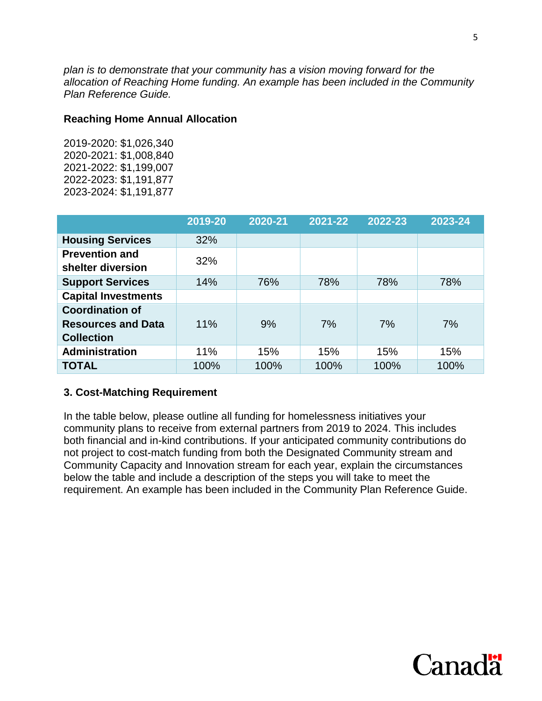*plan is to demonstrate that your community has a vision moving forward for the allocation of Reaching Home funding. An example has been included in the Community Plan Reference Guide.* 

#### **Reaching Home Annual Allocation**

2019-2020: \$1,026,340 2020-2021: \$1,008,840 2021-2022: \$1,199,007 2022-2023: \$1,191,877 2023-2024: \$1,191,877

|                                                                          | 2019-20 | 2020-21 | 2021-22 | 2022-23 | 2023-24 |
|--------------------------------------------------------------------------|---------|---------|---------|---------|---------|
| <b>Housing Services</b>                                                  | 32%     |         |         |         |         |
| <b>Prevention and</b><br>shelter diversion                               | 32%     |         |         |         |         |
| <b>Support Services</b>                                                  | 14%     | 76%     | 78%     | 78%     | 78%     |
| <b>Capital Investments</b>                                               |         |         |         |         |         |
| <b>Coordination of</b><br><b>Resources and Data</b><br><b>Collection</b> | 11%     | 9%      | 7%      | 7%      | 7%      |
| <b>Administration</b>                                                    | 11%     | 15%     | 15%     | 15%     | 15%     |
| <b>TOTAL</b>                                                             | 100%    | 100%    | 100%    | 100%    | 100%    |

#### <span id="page-4-0"></span>**3. Cost-Matching Requirement**

In the table below, please outline all funding for homelessness initiatives your community plans to receive from external partners from 2019 to 2024. This includes both financial and in-kind contributions. If your anticipated community contributions do not project to cost-match funding from both the Designated Community stream and Community Capacity and Innovation stream for each year, explain the circumstances below the table and include a description of the steps you will take to meet the requirement. An example has been included in the Community Plan Reference Guide.

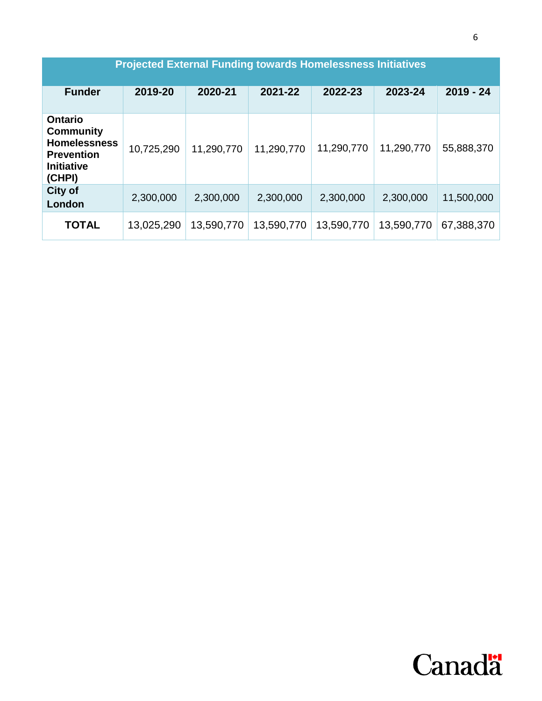<span id="page-5-0"></span>

| <b>Projected External Funding towards Homelessness Initiatives</b>                                            |            |            |            |            |            |             |
|---------------------------------------------------------------------------------------------------------------|------------|------------|------------|------------|------------|-------------|
| <b>Funder</b>                                                                                                 | 2019-20    | 2020-21    | 2021-22    | 2022-23    | 2023-24    | $2019 - 24$ |
| <b>Ontario</b><br><b>Community</b><br><b>Homelessness</b><br><b>Prevention</b><br><b>Initiative</b><br>(CHPI) | 10,725,290 | 11,290,770 | 11,290,770 | 11,290,770 | 11,290,770 | 55,888,370  |
| City of<br>London                                                                                             | 2,300,000  | 2,300,000  | 2,300,000  | 2,300,000  | 2,300,000  | 11,500,000  |
| <b>TOTAL</b>                                                                                                  | 13,025,290 | 13,590,770 | 13,590,770 | 13,590,770 | 13,590,770 | 67,388,370  |

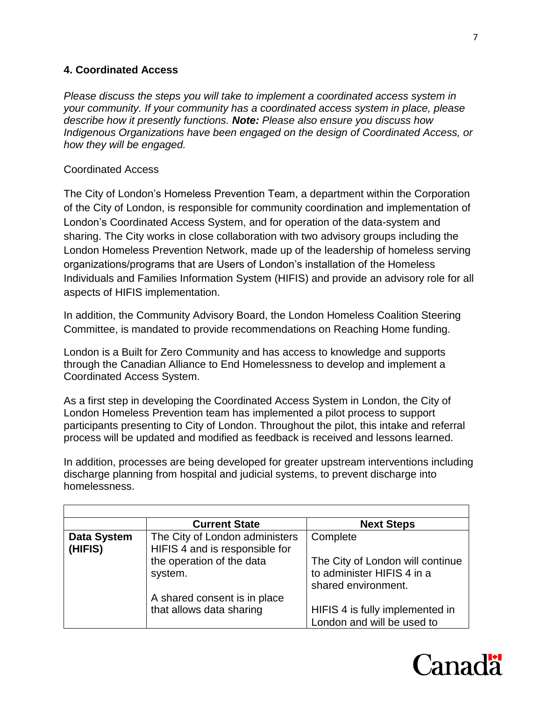### **4. Coordinated Access**

*Please discuss the steps you will take to implement a coordinated access system in your community. If your community has a coordinated access system in place, please describe how it presently functions. Note: Please also ensure you discuss how Indigenous Organizations have been engaged on the design of Coordinated Access, or how they will be engaged.* 

#### Coordinated Access

The City of London's Homeless Prevention Team, a department within the Corporation of the City of London, is responsible for community coordination and implementation of London's Coordinated Access System, and for operation of the data-system and sharing. The City works in close collaboration with two advisory groups including the London Homeless Prevention Network, made up of the leadership of homeless serving organizations/programs that are Users of London's installation of the Homeless Individuals and Families Information System (HIFIS) and provide an advisory role for all aspects of HIFIS implementation.

In addition, the Community Advisory Board, the London Homeless Coalition Steering Committee, is mandated to provide recommendations on Reaching Home funding.

London is a Built for Zero Community and has access to knowledge and supports through the Canadian Alliance to End Homelessness to develop and implement a Coordinated Access System.

As a first step in developing the Coordinated Access System in London, the City of London Homeless Prevention team has implemented a pilot process to support participants presenting to City of London. Throughout the pilot, this intake and referral process will be updated and modified as feedback is received and lessons learned.

In addition, processes are being developed for greater upstream interventions including discharge planning from hospital and judicial systems, to prevent discharge into homelessness.

|                    | <b>Current State</b>           | <b>Next Steps</b>                |
|--------------------|--------------------------------|----------------------------------|
| <b>Data System</b> | The City of London administers | Complete                         |
| (HIFIS)            | HIFIS 4 and is responsible for |                                  |
|                    | the operation of the data      | The City of London will continue |
|                    | system.                        | to administer HIFIS 4 in a       |
|                    |                                | shared environment.              |
|                    | A shared consent is in place   |                                  |
|                    | that allows data sharing       | HIFIS 4 is fully implemented in  |
|                    |                                | London and will be used to       |

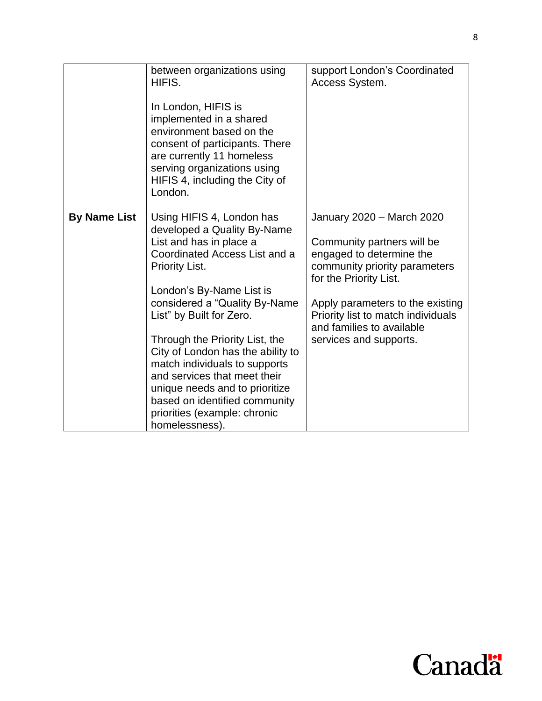|                     | between organizations using<br>HIFIS.<br>In London, HIFIS is<br>implemented in a shared<br>environment based on the<br>consent of participants. There<br>are currently 11 homeless<br>serving organizations using<br>HIFIS 4, including the City of<br>London.                                                                                                                                                                                                                                       | support London's Coordinated<br>Access System.                                                                                                                                                                                                                                  |
|---------------------|------------------------------------------------------------------------------------------------------------------------------------------------------------------------------------------------------------------------------------------------------------------------------------------------------------------------------------------------------------------------------------------------------------------------------------------------------------------------------------------------------|---------------------------------------------------------------------------------------------------------------------------------------------------------------------------------------------------------------------------------------------------------------------------------|
| <b>By Name List</b> | Using HIFIS 4, London has<br>developed a Quality By-Name<br>List and has in place a<br>Coordinated Access List and a<br><b>Priority List.</b><br>London's By-Name List is<br>considered a "Quality By-Name"<br>List" by Built for Zero.<br>Through the Priority List, the<br>City of London has the ability to<br>match individuals to supports<br>and services that meet their<br>unique needs and to prioritize<br>based on identified community<br>priorities (example: chronic<br>homelessness). | January 2020 - March 2020<br>Community partners will be<br>engaged to determine the<br>community priority parameters<br>for the Priority List.<br>Apply parameters to the existing<br>Priority list to match individuals<br>and families to available<br>services and supports. |

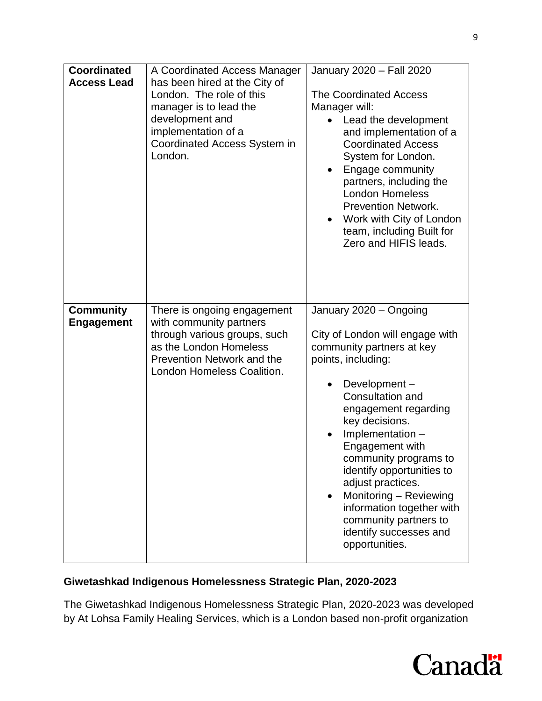| <b>Coordinated</b><br><b>Access Lead</b> | A Coordinated Access Manager<br>has been hired at the City of<br>London. The role of this<br>manager is to lead the<br>development and<br>implementation of a<br>Coordinated Access System in<br>London. | January 2020 - Fall 2020<br><b>The Coordinated Access</b><br>Manager will:<br>Lead the development<br>and implementation of a<br><b>Coordinated Access</b><br>System for London.<br>Engage community<br>partners, including the<br><b>London Homeless</b><br><b>Prevention Network.</b><br>Work with City of London<br>$\bullet$<br>team, including Built for<br>Zero and HIFIS leads.                                                                |
|------------------------------------------|----------------------------------------------------------------------------------------------------------------------------------------------------------------------------------------------------------|-------------------------------------------------------------------------------------------------------------------------------------------------------------------------------------------------------------------------------------------------------------------------------------------------------------------------------------------------------------------------------------------------------------------------------------------------------|
| <b>Community</b><br><b>Engagement</b>    | There is ongoing engagement<br>with community partners<br>through various groups, such<br>as the London Homeless<br>Prevention Network and the<br>London Homeless Coalition.                             | January 2020 - Ongoing<br>City of London will engage with<br>community partners at key<br>points, including:<br>Development-<br>Consultation and<br>engagement regarding<br>key decisions.<br>Implementation -<br>Engagement with<br>community programs to<br>identify opportunities to<br>adjust practices.<br>Monitoring - Reviewing<br>$\bullet$<br>information together with<br>community partners to<br>identify successes and<br>opportunities. |

## **Giwetashkad Indigenous Homelessness Strategic Plan, 2020-2023**

The Giwetashkad Indigenous Homelessness Strategic Plan, 2020-2023 was developed by At Lohsa Family Healing Services, which is a London based non-profit organization

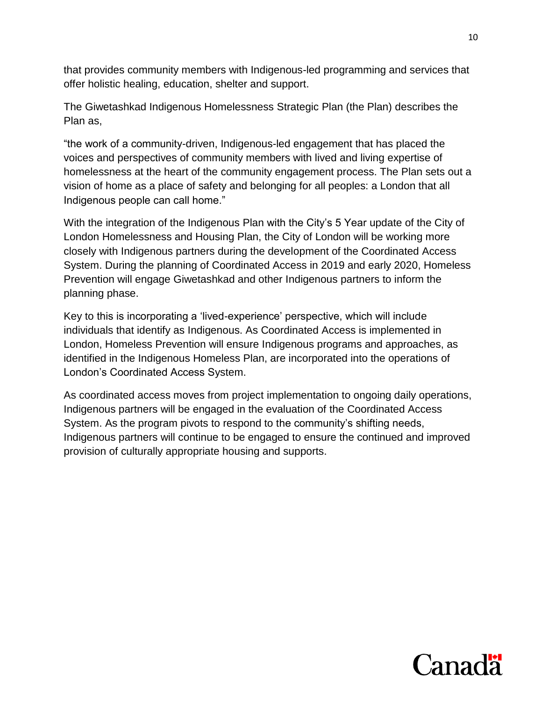that provides community members with Indigenous-led programming and services that offer holistic healing, education, shelter and support.

The Giwetashkad Indigenous Homelessness Strategic Plan (the Plan) describes the Plan as,

"the work of a community-driven, Indigenous-led engagement that has placed the voices and perspectives of community members with lived and living expertise of homelessness at the heart of the community engagement process. The Plan sets out a vision of home as a place of safety and belonging for all peoples: a London that all Indigenous people can call home."

With the integration of the Indigenous Plan with the City's 5 Year update of the City of London Homelessness and Housing Plan, the City of London will be working more closely with Indigenous partners during the development of the Coordinated Access System. During the planning of Coordinated Access in 2019 and early 2020, Homeless Prevention will engage Giwetashkad and other Indigenous partners to inform the planning phase.

Key to this is incorporating a 'lived-experience' perspective, which will include individuals that identify as Indigenous. As Coordinated Access is implemented in London, Homeless Prevention will ensure Indigenous programs and approaches, as identified in the Indigenous Homeless Plan, are incorporated into the operations of London's Coordinated Access System.

<span id="page-9-0"></span>As coordinated access moves from project implementation to ongoing daily operations, Indigenous partners will be engaged in the evaluation of the Coordinated Access System. As the program pivots to respond to the community's shifting needs, Indigenous partners will continue to be engaged to ensure the continued and improved provision of culturally appropriate housing and supports.

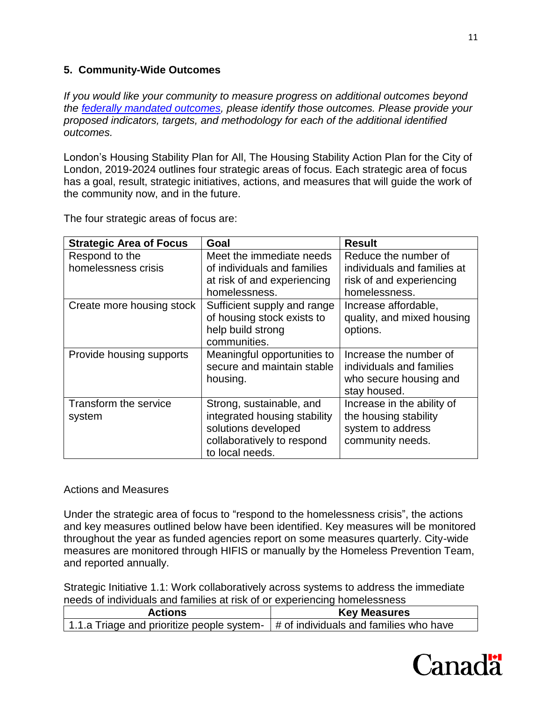### **5. Community-Wide Outcomes**

*If you would like your community to measure progress on additional outcomes beyond the [federally mandated outcomes,](https://www.canada.ca/en/employment-social-development/programs/homelessness/directives.html#h2.3-h3.3) please identify those outcomes. Please provide your proposed indicators, targets, and methodology for each of the additional identified outcomes.* 

London's Housing Stability Plan for All, The Housing Stability Action Plan for the City of London, 2019-2024 outlines four strategic areas of focus. Each strategic area of focus has a goal, result, strategic initiatives, actions, and measures that will guide the work of the community now, and in the future.

| <b>Strategic Area of Focus</b>        | Goal                                                                                                                             | <b>Result</b>                                                                                    |
|---------------------------------------|----------------------------------------------------------------------------------------------------------------------------------|--------------------------------------------------------------------------------------------------|
| Respond to the<br>homelessness crisis | Meet the immediate needs<br>of individuals and families<br>at risk of and experiencing<br>homelessness.                          | Reduce the number of<br>individuals and families at<br>risk of and experiencing<br>homelessness. |
| Create more housing stock             | Sufficient supply and range<br>of housing stock exists to<br>help build strong<br>communities.                                   | Increase affordable.<br>quality, and mixed housing<br>options.                                   |
| Provide housing supports              | Meaningful opportunities to<br>secure and maintain stable<br>housing.                                                            | Increase the number of<br>individuals and families<br>who secure housing and<br>stay housed.     |
| Transform the service<br>system       | Strong, sustainable, and<br>integrated housing stability<br>solutions developed<br>collaboratively to respond<br>to local needs. | Increase in the ability of<br>the housing stability<br>system to address<br>community needs.     |

The four strategic areas of focus are:

#### Actions and Measures

Under the strategic area of focus to "respond to the homelessness crisis", the actions and key measures outlined below have been identified. Key measures will be monitored throughout the year as funded agencies report on some measures quarterly. City-wide measures are monitored through HIFIS or manually by the Homeless Prevention Team, and reported annually.

Strategic Initiative 1.1: Work collaboratively across systems to address the immediate needs of individuals and families at risk of or experiencing homelessness

| <b>Actions</b>                             | <b>Key Measures</b>                    |
|--------------------------------------------|----------------------------------------|
| 1.1.a Triage and prioritize people system- | # of individuals and families who have |

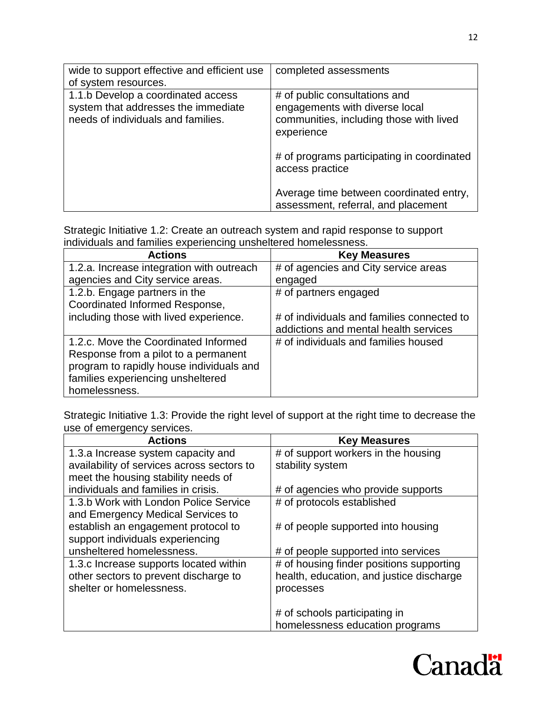| wide to support effective and efficient use<br>of system resources.                                             | completed assessments                                                                                                    |
|-----------------------------------------------------------------------------------------------------------------|--------------------------------------------------------------------------------------------------------------------------|
| 1.1.b Develop a coordinated access<br>system that addresses the immediate<br>needs of individuals and families. | # of public consultations and<br>engagements with diverse local<br>communities, including those with lived<br>experience |
|                                                                                                                 | # of programs participating in coordinated<br>access practice                                                            |
|                                                                                                                 | Average time between coordinated entry,<br>assessment, referral, and placement                                           |

Strategic Initiative 1.2: Create an outreach system and rapid response to support individuals and families experiencing unsheltered homelessness.

| <b>Actions</b>                            | <b>Key Measures</b>                        |
|-------------------------------------------|--------------------------------------------|
| 1.2.a. Increase integration with outreach | # of agencies and City service areas       |
| agencies and City service areas.          | engaged                                    |
| 1.2.b. Engage partners in the             | # of partners engaged                      |
| Coordinated Informed Response,            |                                            |
| including those with lived experience.    | # of individuals and families connected to |
|                                           | addictions and mental health services      |
| 1.2.c. Move the Coordinated Informed      | # of individuals and families housed       |
| Response from a pilot to a permanent      |                                            |
| program to rapidly house individuals and  |                                            |
| families experiencing unsheltered         |                                            |
| homelessness.                             |                                            |

Strategic Initiative 1.3: Provide the right level of support at the right time to decrease the use of emergency services.

| <b>Actions</b>                             | <b>Key Measures</b>                      |
|--------------------------------------------|------------------------------------------|
| 1.3.a Increase system capacity and         | # of support workers in the housing      |
| availability of services across sectors to | stability system                         |
| meet the housing stability needs of        |                                          |
| individuals and families in crisis.        | # of agencies who provide supports       |
| 1.3.b Work with London Police Service      | # of protocols established               |
| and Emergency Medical Services to          |                                          |
| establish an engagement protocol to        | # of people supported into housing       |
| support individuals experiencing           |                                          |
| unsheltered homelessness.                  | # of people supported into services      |
| 1.3.c Increase supports located within     | # of housing finder positions supporting |
| other sectors to prevent discharge to      | health, education, and justice discharge |
| shelter or homelessness.                   | processes                                |
|                                            |                                          |
|                                            | # of schools participating in            |
|                                            | homelessness education programs          |

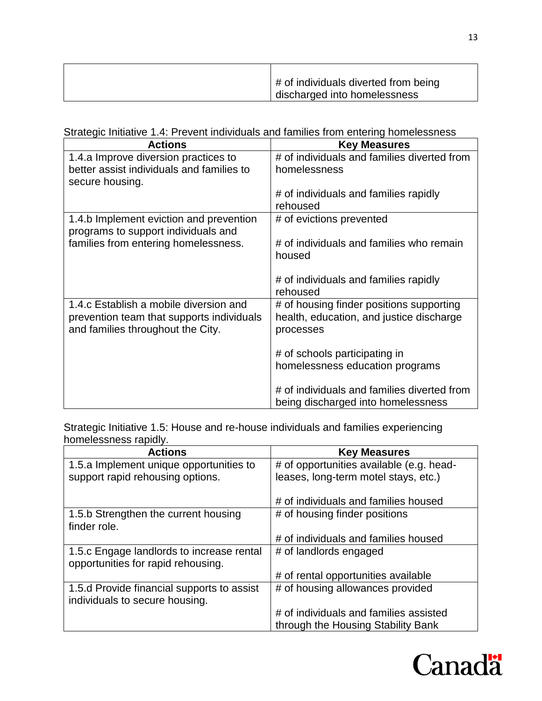| # of individuals diverted from being |
|--------------------------------------|
| discharged into homelessness         |

Strategic Initiative 1.4: Prevent individuals and families from entering homelessness

| <b>Actions</b>                            | <b>Key Measures</b>                         |
|-------------------------------------------|---------------------------------------------|
| 1.4.a Improve diversion practices to      | # of individuals and families diverted from |
| better assist individuals and families to | homelessness                                |
| secure housing.                           |                                             |
|                                           | # of individuals and families rapidly       |
|                                           | rehoused                                    |
| 1.4.b Implement eviction and prevention   | # of evictions prevented                    |
| programs to support individuals and       |                                             |
| families from entering homelessness.      | # of individuals and families who remain    |
|                                           | housed                                      |
|                                           |                                             |
|                                           | # of individuals and families rapidly       |
|                                           | rehoused                                    |
| 1.4.c Establish a mobile diversion and    | # of housing finder positions supporting    |
| prevention team that supports individuals | health, education, and justice discharge    |
| and families throughout the City.         | processes                                   |
|                                           |                                             |
|                                           | # of schools participating in               |
|                                           | homelessness education programs             |
|                                           |                                             |
|                                           | # of individuals and families diverted from |
|                                           | being discharged into homelessness          |

Strategic Initiative 1.5: House and re-house individuals and families experiencing homelessness rapidly.

| <b>Actions</b>                                                                  | <b>Key Measures</b>                      |
|---------------------------------------------------------------------------------|------------------------------------------|
| 1.5.a Implement unique opportunities to                                         | # of opportunities available (e.g. head- |
| support rapid rehousing options.                                                | leases, long-term motel stays, etc.)     |
|                                                                                 | # of individuals and families housed     |
| 1.5.b Strengthen the current housing<br>finder role.                            | # of housing finder positions            |
|                                                                                 | # of individuals and families housed     |
| 1.5.c Engage landlords to increase rental<br>opportunities for rapid rehousing. | # of landlords engaged                   |
|                                                                                 | # of rental opportunities available      |
| 1.5.d Provide financial supports to assist<br>individuals to secure housing.    | # of housing allowances provided         |
|                                                                                 | # of individuals and families assisted   |
|                                                                                 | through the Housing Stability Bank       |

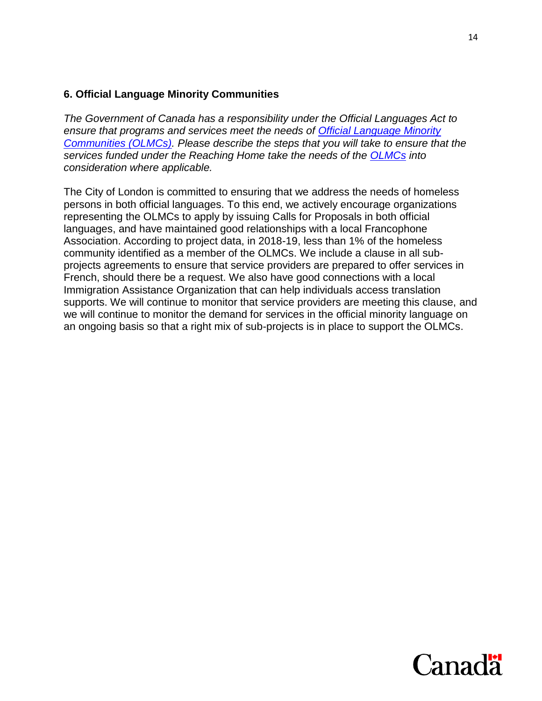#### <span id="page-13-0"></span>**6. Official Language Minority Communities**

*The Government of Canada has a responsibility under the Official Languages Act to ensure that programs and services meet the needs of [Official Language Minority](https://www.canada.ca/en/employment-social-development/programs/homelessness/directives.html#h2.3-h3.7)  [Communities \(OLMCs\).](https://www.canada.ca/en/employment-social-development/programs/homelessness/directives.html#h2.3-h3.7) Please describe the steps that you will take to ensure that the services funded under the Reaching Home take the needs of the [OLMCs](https://www.canada.ca/en/employment-social-development/programs/homelessness/directives.html#h2.3-h3.7) into consideration where applicable.* 

The City of London is committed to ensuring that we address the needs of homeless persons in both official languages. To this end, we actively encourage organizations representing the OLMCs to apply by issuing Calls for Proposals in both official languages, and have maintained good relationships with a local Francophone Association. According to project data, in 2018-19, less than 1% of the homeless community identified as a member of the OLMCs. We include a clause in all subprojects agreements to ensure that service providers are prepared to offer services in French, should there be a request. We also have good connections with a local Immigration Assistance Organization that can help individuals access translation supports. We will continue to monitor that service providers are meeting this clause, and we will continue to monitor the demand for services in the official minority language on an ongoing basis so that a right mix of sub-projects is in place to support the OLMCs.